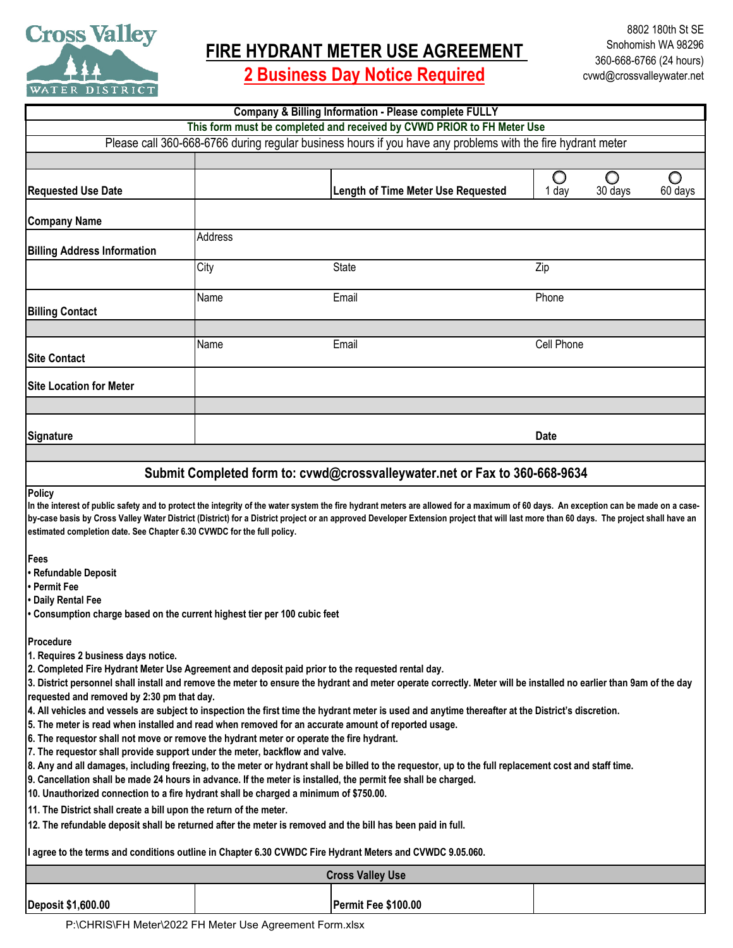

**FIRE HYDRANT METER USE AGREEMENT** 

**2 Business Day Notice Required**

| <b>Company &amp; Billing Information - Please complete FULLY</b>                                                                                                                                                                                                                                                                                                                                                                                                                                                                                                                                                                                                                |         |                                           |                                            |
|---------------------------------------------------------------------------------------------------------------------------------------------------------------------------------------------------------------------------------------------------------------------------------------------------------------------------------------------------------------------------------------------------------------------------------------------------------------------------------------------------------------------------------------------------------------------------------------------------------------------------------------------------------------------------------|---------|-------------------------------------------|--------------------------------------------|
| This form must be completed and received by CVWD PRIOR to FH Meter Use                                                                                                                                                                                                                                                                                                                                                                                                                                                                                                                                                                                                          |         |                                           |                                            |
| Please call 360-668-6766 during regular business hours if you have any problems with the fire hydrant meter                                                                                                                                                                                                                                                                                                                                                                                                                                                                                                                                                                     |         |                                           |                                            |
|                                                                                                                                                                                                                                                                                                                                                                                                                                                                                                                                                                                                                                                                                 |         |                                           |                                            |
| <b>Requested Use Date</b>                                                                                                                                                                                                                                                                                                                                                                                                                                                                                                                                                                                                                                                       |         | <b>Length of Time Meter Use Requested</b> | O<br>O<br>O<br>30 days<br>60 days<br>1 day |
| <b>Company Name</b>                                                                                                                                                                                                                                                                                                                                                                                                                                                                                                                                                                                                                                                             |         |                                           |                                            |
| <b>Billing Address Information</b>                                                                                                                                                                                                                                                                                                                                                                                                                                                                                                                                                                                                                                              | Address |                                           |                                            |
|                                                                                                                                                                                                                                                                                                                                                                                                                                                                                                                                                                                                                                                                                 | City    | <b>State</b>                              | Zip                                        |
| <b>Billing Contact</b>                                                                                                                                                                                                                                                                                                                                                                                                                                                                                                                                                                                                                                                          | Name    | Email                                     | Phone                                      |
|                                                                                                                                                                                                                                                                                                                                                                                                                                                                                                                                                                                                                                                                                 |         |                                           |                                            |
| <b>Site Contact</b>                                                                                                                                                                                                                                                                                                                                                                                                                                                                                                                                                                                                                                                             | Name    | Email                                     | Cell Phone                                 |
| <b>Site Location for Meter</b>                                                                                                                                                                                                                                                                                                                                                                                                                                                                                                                                                                                                                                                  |         |                                           |                                            |
|                                                                                                                                                                                                                                                                                                                                                                                                                                                                                                                                                                                                                                                                                 |         |                                           |                                            |
| <b>Signature</b>                                                                                                                                                                                                                                                                                                                                                                                                                                                                                                                                                                                                                                                                |         |                                           | <b>Date</b>                                |
|                                                                                                                                                                                                                                                                                                                                                                                                                                                                                                                                                                                                                                                                                 |         |                                           |                                            |
| Submit Completed form to: cvwd@crossvalleywater.net or Fax to 360-668-9634                                                                                                                                                                                                                                                                                                                                                                                                                                                                                                                                                                                                      |         |                                           |                                            |
| <b>Policy</b><br>In the interest of public safety and to protect the integrity of the water system the fire hydrant meters are allowed for a maximum of 60 days. An exception can be made on a case-<br>by-case basis by Cross Valley Water District (District) for a District project or an approved Developer Extension project that will last more than 60 days. The project shall have an<br>estimated completion date. See Chapter 6.30 CVWDC for the full policy.                                                                                                                                                                                                         |         |                                           |                                            |
| Fees<br>• Refundable Deposit<br><b>• Permit Fee</b><br>• Daily Rental Fee<br>• Consumption charge based on the current highest tier per 100 cubic feet                                                                                                                                                                                                                                                                                                                                                                                                                                                                                                                          |         |                                           |                                            |
| Procedure<br>1. Requires 2 business days notice.                                                                                                                                                                                                                                                                                                                                                                                                                                                                                                                                                                                                                                |         |                                           |                                            |
| 2. Completed Fire Hydrant Meter Use Agreement and deposit paid prior to the requested rental day.<br>3. District personnel shall install and remove the meter to ensure the hydrant and meter operate correctly. Meter will be installed no earlier than 9am of the day<br>requested and removed by 2:30 pm that day.<br>4. All vehicles and vessels are subject to inspection the first time the hydrant meter is used and anytime thereafter at the District's discretion.<br>5. The meter is read when installed and read when removed for an accurate amount of reported usage.<br>6. The requestor shall not move or remove the hydrant meter or operate the fire hydrant. |         |                                           |                                            |
| 7. The requestor shall provide support under the meter, backflow and valve.<br>8. Any and all damages, including freezing, to the meter or hydrant shall be billed to the requestor, up to the full replacement cost and staff time.<br>9. Cancellation shall be made 24 hours in advance. If the meter is installed, the permit fee shall be charged.<br>10. Unauthorized connection to a fire hydrant shall be charged a minimum of \$750.00.                                                                                                                                                                                                                                 |         |                                           |                                            |
| 11. The District shall create a bill upon the return of the meter.                                                                                                                                                                                                                                                                                                                                                                                                                                                                                                                                                                                                              |         |                                           |                                            |
| 12. The refundable deposit shall be returned after the meter is removed and the bill has been paid in full.<br>I agree to the terms and conditions outline in Chapter 6.30 CVWDC Fire Hydrant Meters and CVWDC 9.05.060.                                                                                                                                                                                                                                                                                                                                                                                                                                                        |         |                                           |                                            |
|                                                                                                                                                                                                                                                                                                                                                                                                                                                                                                                                                                                                                                                                                 |         |                                           |                                            |
|                                                                                                                                                                                                                                                                                                                                                                                                                                                                                                                                                                                                                                                                                 |         | <b>Cross Valley Use</b>                   |                                            |
| <b>Deposit \$1,600.00</b>                                                                                                                                                                                                                                                                                                                                                                                                                                                                                                                                                                                                                                                       |         | Permit Fee \$100.00                       |                                            |